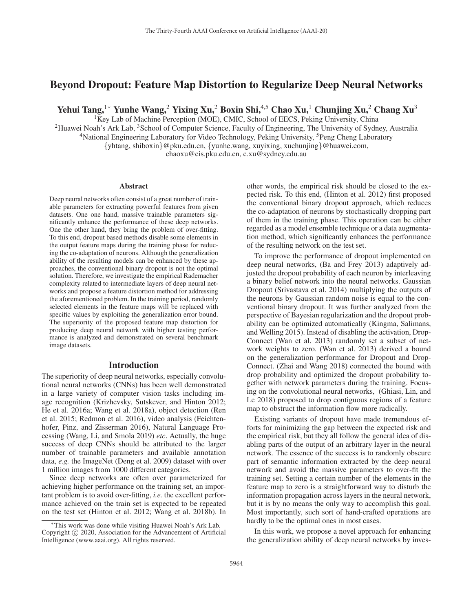# Beyond Dropout: Feature Map Distortion to Regularize Deep Neural Networks

Yehui Tang,<sup>1</sup>\* Yunhe Wang,<sup>2</sup> Yixing Xu,<sup>2</sup> Boxin Shi,<sup>4,5</sup> Chao Xu,<sup>1</sup> Chunjing Xu,<sup>2</sup> Chang Xu<sup>3</sup>

 ${}^{1}$ Key Lab of Machine Perception (MOE), CMIC, School of EECS, Peking University, China

<sup>2</sup>Huawei Noah's Ark Lab, <sup>3</sup>School of Computer Science, Faculty of Engineering, The University of Sydney, Australia

<sup>4</sup>National Engineering Laboratory for Video Technology, Peking University, <sup>5</sup>Peng Cheng Laboratory

{yhtang, shiboxin}@pku.edu.cn, {yunhe.wang, xuyixing, xuchunjing}@huawei.com,

chaoxu@cis.pku.edu.cn, c.xu@sydney.edu.au

#### Abstract

Deep neural networks often consist of a great number of trainable parameters for extracting powerful features from given datasets. One one hand, massive trainable parameters significantly enhance the performance of these deep networks. One the other hand, they bring the problem of over-fitting. To this end, dropout based methods disable some elements in the output feature maps during the training phase for reducing the co-adaptation of neurons. Although the generalization ability of the resulting models can be enhanced by these approaches, the conventional binary dropout is not the optimal solution. Therefore, we investigate the empirical Rademacher complexity related to intermediate layers of deep neural networks and propose a feature distortion method for addressing the aforementioned problem. In the training period, randomly selected elements in the feature maps will be replaced with specific values by exploiting the generalization error bound. The superiority of the proposed feature map distortion for producing deep neural network with higher testing performance is analyzed and demonstrated on several benchmark image datasets.

## Introduction

The superiority of deep neural networks, especially convolutional neural networks (CNNs) has been well demonstrated in a large variety of computer vision tasks including image recognition (Krizhevsky, Sutskever, and Hinton 2012; He et al. 2016a; Wang et al. 2018a), object detection (Ren et al. 2015; Redmon et al. 2016), video analysis (Feichtenhofer, Pinz, and Zisserman 2016), Natural Language Processing (Wang, Li, and Smola 2019) *etc*. Actually, the huge success of deep CNNs should be attributed to the larger number of trainable parameters and available annotation data, *e.g.* the ImageNet (Deng et al. 2009) dataset with over 1 million images from 1000 different categories.

Since deep networks are often over parameterized for achieving higher performance on the training set, an important problem is to avoid over-fitting, *i.e.* the excellent performance achieved on the train set is expected to be repeated on the test set (Hinton et al. 2012; Wang et al. 2018b). In

other words, the empirical risk should be closed to the expected risk. To this end, (Hinton et al. 2012) first proposed the conventional binary dropout approach, which reduces the co-adaptation of neurons by stochastically dropping part of them in the training phase. This operation can be either regarded as a model ensemble technique or a data augmentation method, which significantly enhances the performance of the resulting network on the test set.

To improve the performance of dropout implemented on deep neural networks, (Ba and Frey 2013) adaptively adjusted the dropout probability of each neuron by interleaving a binary belief network into the neural networks. Gaussian Dropout (Srivastava et al. 2014) multiplying the outputs of the neurons by Gaussian random noise is equal to the conventional binary dropout. It was further analyzed from the perspective of Bayesian regularization and the dropout probability can be optimized automatically (Kingma, Salimans, and Welling 2015). Instead of disabling the activation, Drop-Connect (Wan et al. 2013) randomly set a subset of network weights to zero. (Wan et al. 2013) derived a bound on the generalization performance for Dropout and Drop-Connect. (Zhai and Wang 2018) connected the bound with drop probability and optimized the dropout probability together with network parameters during the training. Focusing on the convolutional neural networks, (Ghiasi, Lin, and Le 2018) proposed to drop contiguous regions of a feature map to obstruct the information flow more radically.

Existing variants of dropout have made tremendous efforts for minimizing the gap between the expected risk and the empirical risk, but they all follow the general idea of disabling parts of the output of an arbitrary layer in the neural network. The essence of the success is to randomly obscure part of semantic information extracted by the deep neural network and avoid the massive parameters to over-fit the training set. Setting a certain number of the elements in the feature map to zero is a straightforward way to disturb the information propagation across layers in the neural network, but it is by no means the only way to accomplish this goal. Most importantly, such sort of hand-crafted operations are hardly to be the optimal ones in most cases.

In this work, we propose a novel approach for enhancing the generalization ability of deep neural networks by inves-

<sup>∗</sup>This work was done while visiting Huawei Noah's Ark Lab. Copyright  $\odot$  2020, Association for the Advancement of Artificial Intelligence (www.aaai.org). All rights reserved.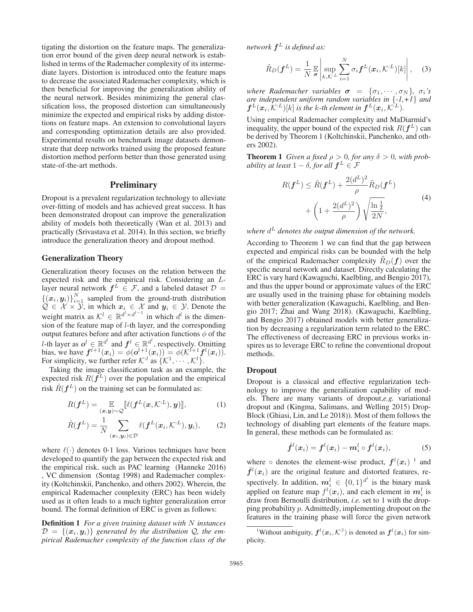tigating the distortion on the feature maps. The generalization error bound of the given deep neural network is established in terms of the Rademacher complexity of its intermediate layers. Distortion is introduced onto the feature maps to decrease the associated Rademacher complexity, which is then beneficial for improving the generalization ability of the neural network. Besides minimizing the general classification loss, the proposed distortion can simultaneously minimize the expected and empirical risks by adding distortions on feature maps. An extension to convolutional layers and corresponding optimization details are also provided. Experimental results on benchmark image datasets demonstrate that deep networks trained using the proposed feature distortion method perform better than those generated using state-of-the-art methods.

# **Preliminary**

Dropout is a prevalent regularization technology to alleviate over-fitting of models and has achieved great success. It has been demonstrated dropout can improve the generalization ability of models both theoretically (Wan et al. 2013) and practically (Srivastava et al. 2014). In this section, we briefly introduce the generalization theory and dropout method.

## Generalization Theory

Generalization theory focuses on the relation between the expected risk and the empirical risk. Considering an Llayer neural network  $f^L \in \mathcal{F}$ , and a labeled dataset  $\mathcal{D} =$  $\{(x_i, y_i)\}_{i=1}^N$  sampled from the ground-truth distribution<br>  $O \in \mathcal{X} \times \mathcal{Y}$  in which  $x_i \in \mathcal{X}$  and  $y_i \in \mathcal{Y}$  Denote the  $Q \in \mathcal{X} \times \mathcal{Y}$ , in which  $x_i \in \mathcal{X}$  and  $y_i \in \mathcal{Y}$ . Denote the weight matrix as  $\mathcal{K}^l \in \mathbb{R}^{d^l \times d^{l-1}}$  in which  $d^l$  is the dimension of the feature map of l-th layer, and the corresponding output features before and after activation functions  $\phi$  of the *l*-th layer as  $o^l \in \mathbb{R}^{d^l}$  and  $f^l \in \mathbb{R}^{d^l}$ , respectively. Omitting bias we have  $f^{l+1}(x_i) = \phi(o^{l+1}(x_i)) = \phi(K^{l+1}f^l(x_i))$ bias, we have  $f^{l+1}(x_i) = \phi(o^{l+1}(x_i)) = \phi(\mathcal{K}^{l+1}f^l(x_i)).$ <br>For simplicity, we further refer  $\mathcal{K}^l$  as  $\{\mathcal{K}^1, \dots, \mathcal{K}^l\}$ .

Taking the image classification task as an example, the expected risk  $R(f^L)$  over the population and the empirical risk  $\hat{R}(f^L)$  on the training set can be formulated as:

$$
R(\boldsymbol{f}^{L}) = \mathop{\mathbb{E}}_{(\boldsymbol{x}, \boldsymbol{y}) \sim \mathcal{Q}} [\![\ell(\boldsymbol{f}^{L}(\boldsymbol{x}, \mathcal{K}^{L}), \boldsymbol{y})]\!],
$$
 (1)

$$
\hat{R}(\boldsymbol{f}^{L}) = \frac{1}{N} \sum_{(\boldsymbol{x}_{i}, \boldsymbol{y}_{i}) \in \mathcal{D}} \ell(\boldsymbol{f}^{L}(\boldsymbol{x}_{i}, \mathcal{K}^{\mathcal{L}}), \boldsymbol{y}_{i}), \qquad (2)
$$

where  $\ell(\cdot)$  denotes 0-1 loss. Various techniques have been developed to quantify the gap between the expected risk and the empirical risk, such as PAC learning (Hanneke 2016) , VC dimension (Sontag 1998) and Rademacher complexity (Koltchinskii, Panchenko, and others 2002). Wherein, the empirical Rademacher complexity (ERC) has been widely used as it often leads to a much tighter generalization error bound. The formal definition of ERC is given as follows:

Definition 1 *For a given training dataset with* N *instances*  $\mathcal{D} = \{(\mathbf{x}_i, \mathbf{y}_i)\}\$  generated by the distribution  $\mathcal{Q}$ , the em*pirical Rademacher complexity of the function class of the*

*network*  $f^L$  *is defined as:* 

$$
\tilde{R}_D(\boldsymbol{f}^L) = \frac{1}{N} \mathbb{E} \left| \sup_{k,\mathcal{K}^L} \sum_{i=1}^N \sigma_i \boldsymbol{f}^L(\boldsymbol{x}_i, \mathcal{K}^L)[k] \right|, \quad (3)
$$

*where Rademacher variables*  $\sigma = {\sigma_1, \cdots, \sigma_N}$ *,*  $\sigma_i$ *'s are independent uniform random variables in* {*-1,+1*} *and*  $f^L(\boldsymbol{x}_i, \mathcal{K}^L)[k]$  *is the k-th element in*  $f^L(\boldsymbol{x}_i, \mathcal{K}^L)$ .

Using empirical Rademacher complexity and MaDiarmid's inequality, the upper bound of the expected risk  $R(f^L)$  can be derived by Theorem 1 (Koltchinskii, Panchenko, and others 2002).

**Theorem 1** *Given a fixed*  $\rho > 0$ *, for any*  $\delta > 0$ *, with probability at least*  $1 - \delta$ *, for all*  $f^L \in \mathcal{F}$ 

$$
R(\boldsymbol{f}^{L}) \leq \hat{R}(\boldsymbol{f}^{L}) + \frac{2(d^{L})^{2}}{\rho} \tilde{R}_{D}(\boldsymbol{f}^{L})
$$

$$
+ \left(1 + \frac{2(d^{L})^{2}}{\rho}\right) \sqrt{\frac{\ln{\frac{1}{\delta}}}{2N}},
$$
(4)

*where*  $d<sup>L</sup>$  *denotes the output dimension of the network.* 

According to Theorem 1 we can find that the gap between expected and empirical risks can be bounded with the help of the empirical Rademacher complexity  $\hat{R}_D(f)$  over the specific neural network and dataset. Directly calculating the ERC is vary hard (Kawaguchi, Kaelbling, and Bengio 2017), and thus the upper bound or approximate values of the ERC are usually used in the training phase for obtaining models with better generalization (Kawaguchi, Kaelbling, and Bengio 2017; Zhai and Wang 2018). (Kawaguchi, Kaelbling, and Bengio 2017) obtained models with better generalization by decreasing a regularization term related to the ERC. The effectiveness of decreasing ERC in previous works inspires us to leverage ERC to refine the conventional dropout methods.

#### Dropout

Dropout is a classical and effective regularization technology to improve the generalization capability of models. There are many variants of dropout,*e.g.* variational dropout and (Kingma, Salimans, and Welling 2015) Drop-Block (Ghiasi, Lin, and Le 2018)). Most of them follows the technology of disabling part elements of the feature maps. In general, these methods can be formulated as:

$$
\hat{f}^l(x_i) = f^l(x_i) - m_i^l \circ f^l(x_i), \qquad (5)
$$

where  $\circ$  denotes the element-wise product,  $f^l(x_i)$ <sup>1</sup> and  $\hat{f}^l(x_i)$  are the original feature and distorted features, re- $\hat{f}^l(x_i)$  are the original feature and distorted features, respectively. In addition,  $m_i^l \in \{0,1\}^{d^l}$  is the binary mask<br>applied on feature map  $f^l(x_i)$  and each element in  $m^l$  is applied on feature map  $f^{\dagger}(x_i)$ , and each element in  $m_i^{\dagger}$  is draw from Bernoulli distribution *i.e.* set to 1 with the drondraw from Bernoulli distribution, *i.e.* set to 1 with the dropping probability p. Admittedly, implementing dropout on the features in the training phase will force the given network

<sup>&</sup>lt;sup>1</sup>Without ambiguity,  $f^l(x_i, \mathcal{K}^{l})$  is denoted as  $f^l(x_i)$  for simplicity.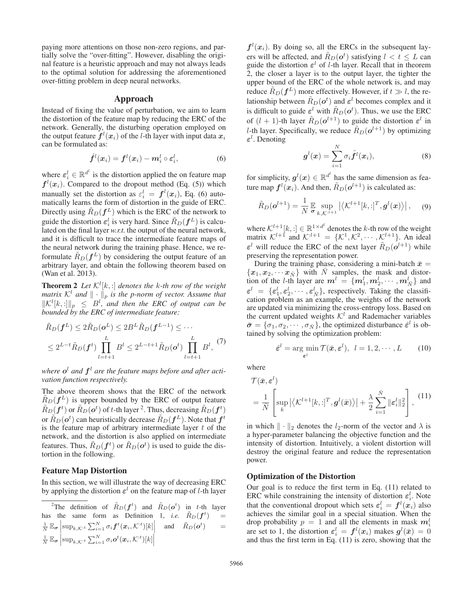paying more attentions on those non-zero regions, and partially solve the "over-fitting". However, disabling the original feature is a heuristic approach and may not always leads to the optimal solution for addressing the aforementioned over-fitting problem in deep neural networks.

## Approach

Instead of fixing the value of perturbation, we aim to learn the distortion of the feature map by reducing the ERC of the network. Generally, the disturbing operation employed on the output feature  $f^l(x_i)$  of the *l*-th layer with input data  $x_i$  can be formulated as: can be formulated as:

$$
\hat{\boldsymbol{f}}^l(\boldsymbol{x}_i) = \boldsymbol{f}^l(\boldsymbol{x}_i) - \boldsymbol{m}_i^l \circ \boldsymbol{\varepsilon}_i^l, \tag{6}
$$

where  $\varepsilon_i^l \in \mathbb{R}^{d^l}$  is the distortion applied the on feature map  $f^l(x_i)$  Compared to the dropout method (Eq. (5)) which  $f^l(x_i)$ . Compared to the dropout method (Eq. (5)) which<br>monuply set the distortion as  $c^l = f^l(x_i)$ . Eq. (6) auto manually set the distortion as  $\varepsilon_i^l = f^l(x_i)$ , Eq. (6) auto-<br>matically learns the form of distortion in the guide of FRC matically learns the form of distortion in the guide of ERC. Directly using  $\tilde{R}_D(f^L)$  which is the ERC of the network to guide the distortion  $\varepsilon_i^l$  is very hard. Since  $\tilde{R}_D(\boldsymbol{f}^L)$  is calculated on the final layer w r t the output of the neural network lated on the final layer *w.r.t.* the output of the neural network, and it is difficult to trace the intermediate feature maps of the neural network during the training phase. Hence, we reformulate  $\hat{R}_D(f^L)$  by considering the output feature of an arbitrary layer, and obtain the following theorem based on (Wan et al. 2013).

**Theorem 2** Let  $\mathcal{K}^l[k, :]$  denotes the k-th row of the weight matrix  $\mathcal{K}^l$  and  $\|\cdot\|$ , is the n-norm of vector Assume that *matrix*  $K^l$  *and*  $\|\cdot\|_p$  *is the p-norm of vector. Assume that*  $\|K^l[k,:]\|_p \leq B^l$ , and then the ERC of output can be bounded by the ERC of intermediate feature. *bounded by the ERC of intermediate feature:*

$$
\tilde{R}_D(\boldsymbol{f}^L) \le 2\tilde{R}_D(\boldsymbol{o}^L) \le 2B^L \tilde{R}_D(\boldsymbol{f}^{L-1}) \le \cdots
$$
\n
$$
\le 2^{L-t} \tilde{R}_D(\boldsymbol{f}^t) \prod_{l=t+1}^L B^l \le 2^{L-t+1} \tilde{R}_D(\boldsymbol{o}^t) \prod_{l=t+1}^L B^l, \tag{7}
$$

where  $o^l$  and  $f^l$  are the feature maps before and after acti*vation function respectively.*

The above theorem shows that the ERC of the network  $R_D(f^L)$  is upper bounded by the ERC of output feature  $\tilde{R}_D(\boldsymbol{f}^t)$  or  $\tilde{R}_D(\boldsymbol{\sigma}^t)$  of t-th layer <sup>2</sup>. Thus, decreasing  $\tilde{R}_D(\boldsymbol{f}^t)$ <br>or  $\tilde{R}_D(\boldsymbol{\sigma}^t)$  can be unistically decrease  $\tilde{R}_D(\boldsymbol{f}^t)$ . Note that  $\boldsymbol{f}$ or  $\hat{R}_D(\sigma^t)$  can heuristically decrease  $\tilde{R}_D(f^L)$ . Note that  $f^t$  is the feature man of arbitrary intermediate layer t of the is the feature map of arbitrary intermediate layer  $t$  of the network, and the distortion is also applied on intermediate features. Thus,  $\tilde{R}_D(f^t)$  or  $\tilde{R}_D(o^t)$  is used to guide the distortion in the following tortion in the following.

### Feature Map Distortion

In this section, we will illustrate the way of decreasing ERC by applying the distortion  $\varepsilon^l$  on the feature map of *l*-th layer

 $f^l(x_i)$ . By doing so, all the ERCs in the subsequent layers will be affected, and  $\tilde{R}_D(\boldsymbol{\sigma}^t)$  satisfying  $l < t \leq L$  can ouide the distortion  $\boldsymbol{\varepsilon}^l$  of *l*-th layer. Recall that in theorem guide the distortion  $\varepsilon^l$  of *l*-th layer. Recall that in theorem 2, the closer a layer is to the output layer, the tighter the upper bound of the ERC of the whole network is, and may reduce  $\tilde{R}_D(f^L)$  more effectively. However, if  $t \gg l$ , the relationship between  $\tilde{R}_D(\boldsymbol{\sigma}^t)$  and  $\boldsymbol{\varepsilon}^l$  becomes complex and it is difficult to quide  $\boldsymbol{\varepsilon}^l$  with  $\tilde{R}_D(\boldsymbol{\sigma}^t)$ . Thus, we use the EPC is difficult to guide  $\varepsilon^l$  with  $\tilde{R}_D(\boldsymbol{\sigma}^t)$ . Thus, we use the ERC of  $(l+1)$  th lower  $\tilde{R}_D(\boldsymbol{\sigma}^{l+1})$  to guide the distortion  $\sigma^l$  in of  $(l + 1)$ -th layer  $\tilde{R}_D(\boldsymbol{o}^{l+1})$  to guide the distortion  $\boldsymbol{\varepsilon}^l$  in *l*-th layer. Specifically, we reduce  $\tilde{R}_D(\boldsymbol{o}^{l+1})$  by optimizing *ε*l . Denoting

$$
\boldsymbol{g}^{l}(\boldsymbol{x}) = \sum_{i=1}^{N} \sigma_i \hat{\boldsymbol{f}}^{l}(\boldsymbol{x}_i),
$$
\n(8)

for simplicity,  $g^l(x) \in \mathbb{R}^{d^l}$  has the same dimension as fea-<br>ture man  $f^l(x)$ . And then  $\tilde{B}_{\infty}(g^{l+1})$  is calculated as: ture map  $f^l(x_i)$ . And then,  $\tilde{R}_D(\boldsymbol{o}^{l+1})$  is calculated as:

$$
\tilde{R}_D(\boldsymbol{o}^{l+1}) = \frac{1}{N} \mathbb{E} \sup_{\boldsymbol{\sigma}_{k,\mathcal{K}^{l+1}}} \left| \langle \mathcal{K}^{l+1}[k, :]^T, \boldsymbol{g}^l(\boldsymbol{x}) \rangle \right|, \quad (9)
$$

where  $\mathcal{K}^{l+1}[k]$ ;  $\in \mathbb{R}^{1 \times d^l}$  denotes the k-th row of the weight matrix  $\mathcal{K}^{l+1}$  and  $\mathcal{K}^{l+1} = \{K^1, K^2, \dots, K^{l+1}\}$ . An ideal matrix  $\mathcal{K}^{l+1}$  and  $\mathcal{K}^{l+1} = \{ \mathcal{K}^1, \mathcal{K}^2, \cdots, \mathcal{K}^{l+1} \}$ . An ideal  $\varepsilon^l$  will reduce the ERC of the next layer  $\tilde{R}_D(\boldsymbol{o}^{l+1})$  while preserving the representation power.

During the training phase, considering a mini-batch  $\bar{x}$  =  ${x_1, x_2, \cdots x_{\bar{N}}}$  with  $\bar{N}$  samples, the mask and distortion of the *l*-th layer are  $m^l = \{m_1^l, m_2^l, \dots, m_N^l\}$  and  $a^l = \{a^l, a^l\}$  are respectively. Taking the algorithm  $\varepsilon^l = \{\varepsilon_1^l, \varepsilon_2^l, \cdots, \varepsilon_N^l\}$ , respectively. Taking the classification problem as an example, the weights of the network cation problem as an example, the weights of the network are updated via minimizing the cross-entropy loss. Based on the current updated weights  $K<sup>l</sup>$  and Rademacher variables  $\bar{\sigma} = {\sigma_1, \sigma_2, \cdots, \sigma_{\bar{N}}},$  the optimized disturbance  $\hat{\epsilon}^l$  is obtained by solving the optimization problem:

$$
\hat{\varepsilon}^l = \arg\min_{\boldsymbol{\varepsilon}^l} \mathcal{T}(\bar{\boldsymbol{x}}, \boldsymbol{\varepsilon}^l), \ \ l = 1, 2, \cdots, L \tag{10}
$$

where

$$
\mathcal{T}(\bar{\mathbf{x}}, \boldsymbol{\varepsilon}^{l}) = \frac{1}{\bar{N}} \left[ \sup_{k} \left| \langle \mathcal{K}^{l+1}[k, :]^{T}, \boldsymbol{g}^{l}(\bar{\mathbf{x}}) \rangle \right| + \frac{\lambda}{2} \sum_{i=1}^{\bar{N}} \|\boldsymbol{\varepsilon}_{i}^{l}\|_{2}^{2} \right], \tag{11}
$$

in which  $\|\cdot\|_2$  denotes the  $l_2$ -norm of the vector and  $\lambda$  is a hyper-parameter balancing the objective function and the intensity of distortion. Intuitively, a violent distortion will destroy the original feature and reduce the representation power.

#### Optimization of the Distortion

Our goal is to reduce the first term in Eq. (11) related to ERC while constraining the intensity of distortion  $\varepsilon_i^l$ . Note that the conventional dropout which sets  $\varepsilon_i^l = f^l(x_i)$  also achieves the similar goal in a special situation. When the achieves the similar goal in a special situation. When the drop probability  $p = 1$  and all the elements in mask  $m<sub>i</sub><sup>l</sup>$ <br>are set to 1, the distortion  $\varepsilon<sup>l</sup> = f<sup>l</sup>(x_i)$  makes  $g<sup>l</sup>(\bar{x}) = 0$ are set to 1, the distortion  $\varepsilon_i^l = f^l(x_i)$  makes  $g^l$ <br>and thus the first term in Eq. (11) is zero, showing and thus the first term in Eq. (11) is zero, showing that the

<sup>&</sup>lt;sup>2</sup>The definition of  $\tilde{R}_D(\boldsymbol{f}^t)$  and  $\tilde{R}_D(\boldsymbol{o}^t)$  in t-th layer has the same form as Definition 1, *i.e.*  $\tilde{R}_D(f^t)$  =  $\frac{1}{N} \mathbb{E}_{\boldsymbol{\sigma}} \left[ \sup_{k,\mathcal{K}^{:t}} \sum_{i=1}^N \sigma_i \boldsymbol{f}^t(\boldsymbol{x}_i, \mathcal{K}^{:t})[k] \right]$  $\frac{1}{N} \mathbb{E}_{\boldsymbol{\sigma}} \left| \sup_{k,\mathcal{K}^{:t}} \sum_{i=1}^{N} \sigma_i \boldsymbol{\sigma}^t(\boldsymbol{x}_i, \mathcal{K}^{:t})[k] \right|$ and  $\tilde{R}_D(\boldsymbol{o}^t)$  =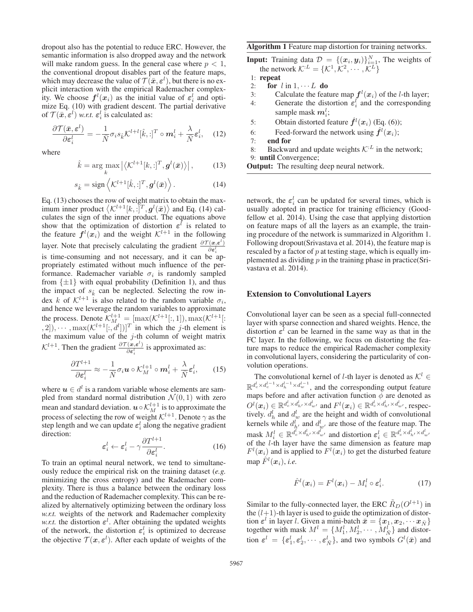dropout also has the potential to reduce ERC. However, the semantic information is also dropped away and the network will make random guess. In the general case where  $p < 1$ , the conventional dropout disables part of the feature maps, which may decrease the value of  $\mathcal{T}(\bar{x}, \varepsilon^l)$ , but there is no ex-<br>plicit interaction with the empirical Rademacher complexplicit interaction with the empirical Rademacher complexity. We choose  $f^l(x_i)$  as the initial value of  $\varepsilon_i^l$  and opti-<br>mize Eq. (10) with gradient descent. The partial derivative mize Eq. (10) with gradient descent. The partial derivative of  $\mathcal{T}(\bar{x}, \varepsilon^l)$  *w.r.t.*  $\varepsilon^l_i$  is calculated as:

$$
\frac{\partial \mathcal{T}(\bar{\mathbf{x}}, \boldsymbol{\varepsilon}^l)}{\partial \boldsymbol{\varepsilon}_i^l} = -\frac{1}{\bar{N}} \sigma_i s_{\hat{k}} \mathcal{K}^{l+l}[\hat{k}, :]^{T} \circ \boldsymbol{m}_i^l + \frac{\lambda}{\bar{N}} \boldsymbol{\varepsilon}_i^l, \quad (12)
$$

where

$$
\hat{k} = \underset{k}{\arg \max} \left| \left\langle \mathcal{K}^{l+1}[k, :]^T, \mathbf{g}^l(\bar{\boldsymbol{x}}) \right\rangle \right|, \tag{13}
$$

$$
s_{\hat{k}} = \text{sign}\left\langle \mathcal{K}^{l+1}[\hat{k},:]^T, \boldsymbol{g}^l(\bar{\boldsymbol{x}})\right\rangle. \tag{14}
$$

Eq. (13) chooses the row of weight matrix to obtain the maximum inner product  $\langle K^{l+1}[k, \cdot]^T, g^l(\bar{x}) \rangle$  and Eq. (14) cal-<br>culates the sign of the inner product. The equations above culates the sign of the inner product. The equations above show that the optimization of distortion  $\varepsilon^l$  is related to the feature  $f^l(x_i)$  and the weight  $K^{l+1}$  in the following the feature  $f^l(x_i)$  and the weight  $K^{l+1}$  in the following layer. Note that precisely calculating the gradient  $\frac{\partial \mathcal{T}(\mathbf{x}, \mathbf{\epsilon}^l)}{\partial \mathbf{\epsilon}^l_i}$ is time-consuming and not necessary, and it can be appropriately estimated without much influence of the performance. Rademacher variable  $\sigma_i$  is randomly sampled from  $\{\pm 1\}$  with equal probability (Definition 1), and thus the impact of  $s_{\hat{k}}$  can be neglected. Selecting the row index k of  $K^{l+1}$  is also related to the random variable  $\sigma_i$ , and hence we leverage the random variables to approximate the process. Denote  $\mathcal{K}_M^{l+1} = [\max(\mathcal{K}^{l+1}[:, 1]), \max(\mathcal{K}^{l+1}[:, 1])$ <br>(2)  $\ldots$  max $(\mathcal{K}^{l+1}[\cdot, d^l])$  in which the *i* th element is  $(n, 2)$ ,  $\cdots$ ,  $\max(\mathcal{K}^{l+1}[:, d^l])$ <sup>T</sup> in which the j-th element is<br>the maximum value of the j-th column of weight matrix the maximum value of the  $j$ -th column of weight matrix  $\mathcal{K}^{l+1}$ . Then the gradient  $\frac{\partial \mathcal{T}(\mathbf{x}, \mathbf{\varepsilon}^l)}{\partial \mathbf{\varepsilon}^l_i}$  is approximated as:

$$
\frac{\partial T^{l+1}}{\partial \varepsilon_i^l} \approx -\frac{1}{\bar{N}} \sigma_i \mathbf{u} \circ \mathcal{K}_M^{l+1} \circ \mathbf{m}_i^l + \frac{\lambda}{\bar{N}} \varepsilon_i^l, \qquad (15)
$$

where  $u \in d^l$  is a random variable whose elements are sampled from standard normal distribution  $\mathcal{N}(0, 1)$  with zero mean and standard deviation.  $\mathbf{u} \circ \mathcal{K}_M^{l+1}$  is to approximate the process of selecting the row of weight  $\mathcal{K}^{l+1}$ . Denote  $\alpha$  as the process of selecting the row of weight  $\mathcal{K}^{l+1}$ . Denote  $\gamma$  as the step length and we can update  $\varepsilon_i^l$  along the negative gradient direction: direction:

$$
\varepsilon_i^l \leftarrow \varepsilon_i^l - \gamma \frac{\partial T^{l+1}}{\partial \varepsilon_i^l}.
$$
 (16)

 $\varepsilon_i \leftarrow \varepsilon_i - \gamma \frac{\partial \varepsilon_i^l}{\partial \varepsilon_i^l}$ . (10)<br>To train an optimal neural network, we tend to simultaneously reduce the empirical risk on the training dataset (*e.g.* minimizing the cross entropy) and the Rademacher complexity. There is thus a balance between the ordinary loss and the reduction of Rademacher complexity. This can be realized by alternatively optimizing between the ordinary loss *w.r.t.* weights of the network and Rademacher complexity *w.r.t.* the distortion  $\varepsilon^l$ . After obtaining the updated weights of the network the distortion  $\varepsilon^l$  is optimized to decrease of the network, the distortion  $\varepsilon_{i}^{l}$  is optimized to decrease<br>the objective  $\mathcal{T}(x, \varepsilon^{l})$  After each undate of weights of the the objective  $\mathcal{T}(\mathbf{x}, \epsilon^l)$ . After each update of weights of the

### Algorithm 1 Feature map distortion for training networks.

**Input:** Training data  $\mathcal{D} = \{(\mathbf{x}_i, \mathbf{y}_i)\}_{i=1}^N$ , The weights of the network  $\mathcal{K}^L = \mathcal{K}^1 \mathcal{K}^2 \dots \mathcal{K}^L$ the network  $K^{L} = \{K^1, K^2, \cdots, K^L\}$ <br>repeat

- 1: repeat
	-
- 2: **for**  $l$  in  $1, \dots L$  **do**<br>3: Calculate the feat 3: Calculate the feature map  $f^l(x_i)$  of the *l*-th layer;<br>4. Generate the distortion  $\epsilon^l$  and the corresponding
- 4: Generate the distortion  $\varepsilon_i^l$  and the corresponding<br>sample mask  $m^l$ : sample mask  $m_i^l$ ;<br>Obtein distorted for
- 5: Obtain distorted feature  $\hat{f}^l(x_i)$  (Eq. (6));
- 6: Feed-forward the network using  $\hat{f}^l(x_i)$ ;<br> **r** end for
- 7: end for
- 8: Backward and update weights  $K^{L}$  in the network; 9: until Convergence;
- **Output:** The resulting deep neural network.

network, the  $\varepsilon_{i}^{l}$  can be updated for several times, which is<br>usually adopted in practice for training efficiency (Goodusually adopted in practice for training efficiency (Goodfellow et al. 2014). Using the case that applying distortion on feature maps of all the layers as an example, the training procedure of the network is summarized in Algorithm 1. Following dropout(Srivastava et al. 2014), the feature map is rescaled by a factor of  $p$  at testing stage, which is equally implemented as dividing  $p$  in the training phase in practice(Srivastava et al. 2014).

#### Extension to Convolutional Layers

Convolutional layer can be seen as a special full-connected layer with sparse connection and shared weights. Hence, the distortion  $\varepsilon^l$  can be learned in the same way as that in the FC layer. In the following, we focus on distorting the feature maps to reduce the empirical Rademacher complexity in convolutional layers, considering the particularity of convolution operations.

The convolutional kernel of l-th layer is denoted as  $\mathcal{K}^l$  ∈  $\mathbb{R}^{d_c^l \times d_c^{l-1} \times d_h^{l-1} \times d_w^{l-1}}$ , and the corresponding output feature maps before and after activation function  $\phi$  are denoted as  $O^l(\mathbf{x}_i) \in \mathbb{R}^{d_c^l \times d_h^l \times d_w^l}$  and  $F^l(\mathbf{x}_i) \in \mathbb{R}^{d_c^l \times d_h^l \times d_w^l}$ , respectively  $d_c^l$  and  $d_c^l$  are the height and width of convolutional tively.  $d_h^l$  and  $d_w^l$  are the height and width of convolutional kernels while  $d_{h'}^{\ell}$  and  $d_{w'}^{\ell}$  are those of the feature map. The mask  $M_i^l \in \mathbb{R}^{d_c^l \times d_h^l \times d_w^l}$  and distortion  $\varepsilon_i^l \in \mathbb{R}^{d_c^l \times d_h^l \times d_w^l}$ <br>of the *l*-th laver have the same dimension as feature man of the l-th layer have the same dimension as feature map  $F^l(x_i)$  and is applied to  $F^l(x_i)$  to get the disturbed feature map  $\hat{F}^l(\boldsymbol{x}_i)$ , *i.e.* 

$$
\hat{F}^l(\boldsymbol{x}_i) = F^l(\boldsymbol{x}_i) - M_i^l \circ \boldsymbol{\varepsilon}_i^l. \tag{17}
$$

Similar to the fully-connected layer, the ERC  $\hat{R}_D(O^{l+1})$  in the  $(l+1)$ -th layer is used to guide the optimization of distortion  $\varepsilon^l$  in layer *l*. Given a mini-batch  $\bar{x} = \{x_1, x_2, \cdots x_{\bar{N}}\}$ together with mask  $M^l = \{M_1^l, M_2^l, \cdots, M_N^l\}$  and distor-<br>tion  $S^l = \{S^l, S^l, \cdots, S^l\}$  and two symbols  $G^l(\bar{S})$  and tion  $\varepsilon^l = \{\varepsilon_1^l, \varepsilon_2^l, \cdots, \varepsilon_N^l\}$ , and two symbols  $G^l(\bar{x})$  and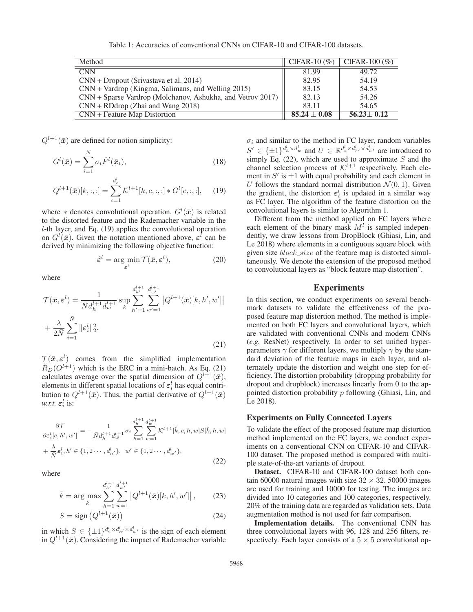Table 1: Accuracies of conventional CNNs on CIFAR-10 and CIFAR-100 datasets.

| Method                                                       | $CIFAR-10(%)$    | $CIFAR-100 (\%)$ |
|--------------------------------------------------------------|------------------|------------------|
| $\overline{\text{CNN}}$                                      | 81.99            | 49.72            |
| $CNN + Dropout (Srivastava et al. 2014)$                     | 82.95            | 54.19            |
| $CNN + Vardrop$ (Kingma, Salimans, and Welling 2015)         | 83.15            | 54.53            |
| $CNN + Sparse$ Vardrop (Molchanov, Ashukha, and Vetrov 2017) | 82.13            | 54.26            |
| $CNN + RD$ drop (Zhai and Wang 2018)                         | 83.11            | 54.65            |
| CNN + Feature Map Distortion                                 | $85.24 \pm 0.08$ | $56.23 \pm 0.12$ |

 $Q^{l+1}(\bar{x})$  are defined for notion simplicity:

$$
G^{l}(\bar{\boldsymbol{x}}) = \sum_{i=1}^{N} \sigma_{i} \hat{F}^{l}(\bar{\boldsymbol{x}}_{i}),
$$
\n(18)

$$
Q^{l+1}(\bar{x})[k, :, :] = \sum_{c=1}^{d_c^l} \mathcal{K}^{l+1}[k, c, :, :] * G^l[c, :, :], \quad (19)
$$

where  $*$  denotes convolutional operation.  $G^l(\bar{x})$  is related to the distorted feature and the Rademacher variable in the to the distorted feature and the Rademacher variable in the l-th layer, and Eq. (19) applies the convolutional operation on  $G^{l}(\bar{x})$ . Given the notation mentioned above,  $\varepsilon^{l}$  can be derived by minimizing the following objective function. derived by minimizing the following objective function:

$$
\hat{\varepsilon}^l = \arg\min_{\varepsilon^l} \mathcal{T}(\bar{x}, \varepsilon^l),\tag{20}
$$

where

$$
\mathcal{T}(\bar{x}, \varepsilon^{l}) = \frac{1}{\bar{N}d_h^{l+1}d_w^{l+1}} \sup_k \sum_{h'=1}^{d_{h'}^{l+1}} \sum_{w'=1}^{d_{h''}^{l+1}} |Q^{l+1}(\bar{x})[k, h', w']|
$$
  
+ 
$$
\frac{\lambda}{2\bar{N}} \sum_{i=1}^{\bar{N}} \|\varepsilon_i^l\|_2^2.
$$
 (21)

 $\mathcal{T}(\bar{x}, \varepsilon^l)$  comes from the simplified implementation<br>  $\tilde{p}_-(\Omega^{l+1})$  which is the EPC in a mini batch As Eq. (21)  $\tilde{R}_D(O^{l+1})$  which is the ERC in a mini-batch. As Eq. (21) calculates average over the spatial dimension of  $Q^{l+1}(\bar{x})$ , elements in different spatial locations of  $\varepsilon_i^l$  has equal contri-<br>bution to  $O^{l+1}(\bar{x})$ . Thus, the partial derivative of  $O^{l+1}(\bar{x})$ . bution to  $Q^{l+1}(\bar{x})$ . Thus, the partial derivative of  $Q^{l+1}(\bar{x})$ *w.r.t.*  $\varepsilon_i^l$  is:

$$
\frac{\partial \mathcal{T}}{\partial \varepsilon_i^l[c, h', w']} = -\frac{1}{\bar{N}d_h^{l+1}d_w^{l+1}} \sigma_i \sum_{h=1}^{d_h^{l+1}} \sum_{w=1}^{d_w^{l+1}} \mathcal{K}^{l+1}[\hat{k}, c, h, w] S[\hat{k}, h, w] + \frac{\lambda}{\bar{N}} \varepsilon_i^l, h' \in \{1, 2 \cdots, d_{h'}^l\}, \quad w' \in \{1, 2 \cdots, d_{w'}^l\},
$$
\n(22)

where

$$
\hat{k} = \arg \max_{k} \sum_{h=1}^{d_{h'}^{l+1}} \sum_{w=1}^{d_{w'}^{l+1}} \left| Q^{l+1}(\bar{x})[k, h', w'] \right|, \tag{23}
$$

$$
S = \text{sign}\left(Q^{l+1}(\bar{x})\right) \tag{24}
$$

in which  $S \in {\pm 1}^{d_c \times d_h^l \times d_w^l}$  is the sign of each element<br>in  $O^{l+1}(\bar{x})$  Considering the impact of Rademacher variable in  $Q^{l+1}(\bar{x})$ . Considering the impact of Rademacher variable  $\sigma_i$  and similar to the method in FC layer, random variables  $S' \in {\pm 1}^{d_h^l \times d_w^l}$  and  $U \in \mathbb{R}^{d_c^l \times d_h^l \times d_w^l}$  are introduced to simply Eq. (22) which are used to approximate S and the  $S \subseteq \{ \pm 1 \}$  and  $S \subseteq \infty$  simply Eq. (22), which are used to approximate S and the channel selection process of  $K^{l+1}$  respectively. Each element in  $S'$  is  $\pm 1$  with equal probability and each element in U follows the standard normal distribution  $\mathcal{N}(0, 1)$ . Given the gradient, the distortion  $\varepsilon_i^l$  is updated in a similar way<br>as FC layer. The algorithm of the feature distortion on the as FC layer. The algorithm of the feature distortion on the convolutional layers is similar to Algorithm 1.

Different from the method applied on FC layers where each element of the binary mask  $M<sup>l</sup>$  is sampled independently, we draw lessons from DropBlock (Ghiasi, Lin, and Le 2018) where elements in a contiguous square block with given size  $block\_size$  of the feature map is distorted simultaneously. We denote the extension of the proposed method to convolutional layers as "block feature map distortion".

## Experiments

In this section, we conduct experiments on several benchmark datasets to validate the effectiveness of the proposed feature map distortion method. The method is implemented on both FC layers and convolutional layers, which are validated with conventional CNNs and modern CNNs (*e.g.* ResNet) respectively. In order to set unified hyperparameters  $\gamma$  for different layers, we multiply  $\gamma$  by the standard deviation of the feature maps in each layer, and alternately update the distortion and weight one step for efficiency. The distortion probability (dropping probability for dropout and dropblock) increases linearly from 0 to the appointed distortion probability  $p$  following (Ghiasi, Lin, and Le 2018).

## Experiments on Fully Connected Layers

To validate the effect of the proposed feature map distortion method implemented on the FC layers, we conduct experiments on a conventional CNN on CIFAR-10 and CIFAR-100 dataset. The proposed method is compared with multiple state-of-the-art variants of dropout.

Dataset. CIFAR-10 and CIFAR-100 dataset both contain 60000 natural images with size  $32 \times 32$ . 50000 images are used for training and 10000 for testing. The images are divided into 10 categories and 100 categories, respectively. 20% of the training data are regarded as validation sets. Data augmentation method is not used for fair comparison.

Implementation details. The conventional CNN has three convolutional layers with 96, 128 and 256 filters, respectively. Each layer consists of a  $5 \times 5$  convolutional op-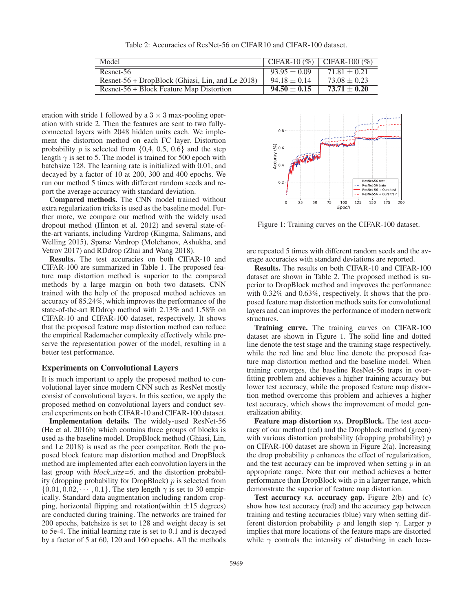Table 2: Accuracies of ResNet-56 on CIFAR10 and CIFAR-100 dataset.

| Model                                            |                  | $\mid$ CIFAR-10 (%) $\mid$ CIFAR-100 (%) |
|--------------------------------------------------|------------------|------------------------------------------|
| Resnet-56                                        | $93.95 \pm 0.09$ | $71.81 + 0.21$                           |
| Resnet-56 + DropBlock (Ghiasi, Lin, and Le 2018) | $94.18 \pm 0.14$ | $73.08 \pm 0.23$                         |
| Resnet-56 + Block Feature Map Distortion         | $94.50 \pm 0.15$ | $73.71 \pm 0.20$                         |

eration with stride 1 followed by a  $3 \times 3$  max-pooling operation with stride 2. Then the features are sent to two fullyconnected layers with 2048 hidden units each. We implement the distortion method on each FC layer. Distortion probability p is selected from  $\{0,4, 0.5, 0.6\}$  and the step length  $\gamma$  is set to 5. The model is trained for 500 epoch with batchsize 128. The learning rate is initialized with 0.01, and decayed by a factor of 10 at 200, 300 and 400 epochs. We run our method 5 times with different random seeds and report the average accuracy with standard deviation.

Compared methods. The CNN model trained without extra regularization tricks is used as the baseline model. Further more, we compare our method with the widely used dropout method (Hinton et al. 2012) and several state-ofthe-art variants, including Vardrop (Kingma, Salimans, and Welling 2015), Sparse Vardrop (Molchanov, Ashukha, and Vetrov 2017) and RDdrop (Zhai and Wang 2018).

Results. The test accuracies on both CIFAR-10 and CIFAR-100 are summarized in Table 1. The proposed feature map distortion method is superior to the compared methods by a large margin on both two datasets. CNN trained with the help of the proposed method achieves an accuracy of 85.24%, which improves the performance of the state-of-the-art RDdrop method with 2.13% and 1.58% on CIFAR-10 and CIFAR-100 dataset, respectively. It shows that the proposed feature map distortion method can reduce the empirical Rademacher complexity effectively while preserve the representation power of the model, resulting in a better test performance.

## Experiments on Convolutional Layers

It is much important to apply the proposed method to convolutional layer since modern CNN such as ResNet mostly consist of convolutional layers. In this section, we apply the proposed method on convolutional layers and conduct several experiments on both CIFAR-10 and CIFAR-100 dataset.

Implementation details. The widely-used ResNet-56 (He et al. 2016b) which contains three groups of blocks is used as the baseline model. DropBlock method (Ghiasi, Lin, and Le 2018) is used as the peer competitor. Both the proposed block feature map distortion method and DropBlock method are implemented after each convolution layers in the last group with *block size=6*, and the distortion probability (dropping probability for DropBlock)  $p$  is selected from  $\{0.01, 0.02, \cdots, 0.1\}$ . The step length  $\gamma$  is set to 30 empirically. Standard data augmentation including random cropping, horizontal flipping and rotation(within  $\pm 15$  degrees) are conducted during training. The networks are trained for 200 epochs, batchsize is set to 128 and weight decay is set to 5e-4. The initial learning rate is set to 0.1 and is decayed by a factor of 5 at 60, 120 and 160 epochs. All the methods



Figure 1: Training curves on the CIFAR-100 dataset.

are repeated 5 times with different random seeds and the average accuracies with standard deviations are reported.

Results. The results on both CIFAR-10 and CIFAR-100 dataset are shown in Table 2. The proposed method is superior to DropBlock method and improves the performance with 0.32% and 0.63%, respectively. It shows that the proposed feature map distortion methods suits for convolutional layers and can improves the performance of modern network structures.

Training curve. The training curves on CIFAR-100 dataset are shown in Figure 1. The solid line and dotted line denote the test stage and the training stage respectively, while the red line and blue line denote the proposed feature map distortion method and the baseline model. When training converges, the baseline ResNet-56 traps in overfitting problem and achieves a higher training accuracy but lower test accuracy, while the proposed feature map distortion method overcome this problem and achieves a higher test accuracy, which shows the improvement of model generalization ability.

Feature map distortion *v.s.* DropBlock. The test accuracy of our method (red) and the Dropblock method (green) with various distortion probability (dropping probability)  $p$ on CIFAR-100 dataset are shown in Figure 2(a). Increasing the drop probability  $p$  enhances the effect of regularization, and the test accuracy can be improved when setting  $p$  in an appropriate range. Note that our method achieves a better performance than DropBlock with  $p$  in a larger range, which demonstrate the superior of feature map distortion.

Test accuracy *v.s.* accuracy gap. Figure 2(b) and (c) show how test accuracy (red) and the accuracy gap between training and testing accuracies (blue) vary when setting different distortion probability p and length step  $\gamma$ . Larger p implies that more locations of the feature maps are distorted while  $\gamma$  controls the intensity of disturbing in each loca-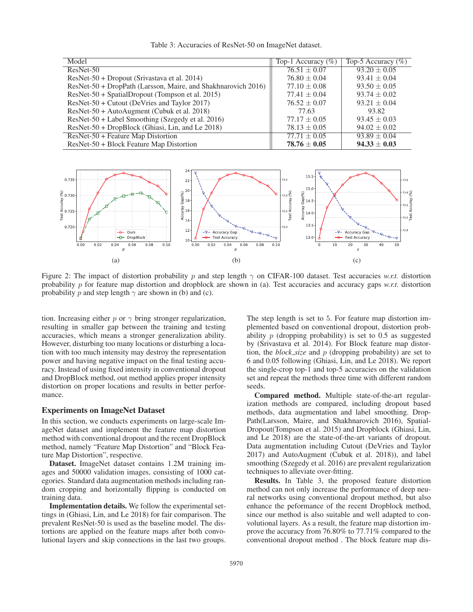|  |  |  |  | Table 3: Accuracies of ResNet-50 on ImageNet dataset. |  |  |  |
|--|--|--|--|-------------------------------------------------------|--|--|--|
|--|--|--|--|-------------------------------------------------------|--|--|--|

| Model                                                         | Top-1 Accuracy $(\%)$ | Top-5 Accuracy $(\%)$ |
|---------------------------------------------------------------|-----------------------|-----------------------|
| ResNet-50                                                     | $76.51 \pm 0.07$      | $93.20 \pm 0.05$      |
| ResNet-50 + Dropout (Srivastava et al. 2014)                  | $76.80 \pm 0.04$      | $93.41 \pm 0.04$      |
| ResNet-50 + DropPath (Larsson, Maire, and Shakhnarovich 2016) | $77.10 \pm 0.08$      | $93.50 \pm 0.05$      |
| ResNet-50 + SpatialDropout (Tompson et al. 2015)              | $77.41 \pm 0.04$      | $93.74 \pm 0.02$      |
| ResNet-50 + Cutout (DeVries and Taylor 2017)                  | $76.52 \pm 0.07$      | $93.21 \pm 0.04$      |
| ResNet-50 + AutoAugment (Cubuk et al. 2018)                   | 77.63                 | 93.82                 |
| ResNet-50 + Label Smoothing (Szegedy et al. 2016)             | $77.17 \pm 0.05$      | $93.45 \pm 0.03$      |
| ResNet-50 + DropBlock (Ghiasi, Lin, and Le 2018)              | $78.13 \pm 0.05$      | $94.02 \pm 0.02$      |
| $ResNet-50 + Feature Map Distortion$                          | $77.71 \pm 0.05$      | $93.89 \pm 0.04$      |
| ResNet-50 + Block Feature Map Distortion                      | $78.76 \pm 0.05$      | $94.33 \pm 0.03$      |



Figure 2: The impact of distortion probability p and step length  $\gamma$  on CIFAR-100 dataset. Test accuracies *w.r.t.* distortion probability p for feature map distortion and dropblock are shown in (a). Test accuracies and accuracy gaps *w.r.t.* distortion probability p and step length  $\gamma$  are shown in (b) and (c).

tion. Increasing either  $p$  or  $\gamma$  bring stronger regularization, resulting in smaller gap between the training and testing accuracies, which means a stronger generalization ability. However, disturbing too many locations or disturbing a location with too much intensity may destroy the representation power and having negative impact on the final testing accuracy. Instead of using fixed intensity in conventional dropout and DropBlock method, out method applies proper intensity distortion on proper locations and results in better performance.

#### Experiments on ImageNet Dataset

In this section, we conducts experiments on large-scale ImageNet dataset and implement the feature map distortion method with conventional dropout and the recent DropBlock method, namely "Feature Map Distortion" and "Block Feature Map Distortion", respective.

Dataset. ImageNet dataset contains 1.2M training images and 50000 validation images, consisting of 1000 categories. Standard data augmentation methods including random cropping and horizontally flipping is conducted on training data.

Implementation details. We follow the experimental settings in (Ghiasi, Lin, and Le 2018) for fair comparison. The prevalent ResNet-50 is used as the baseline model. The distortions are applied on the feature maps after both convolutional layers and skip connections in the last two groups. The step length is set to 5. For feature map distortion implemented based on conventional dropout, distortion probability  $p$  (dropping probability) is set to 0.5 as suggested by (Srivastava et al. 2014). For Block feature map distortion, the *block size* and p (dropping probability) are set to 6 and 0.05 following (Ghiasi, Lin, and Le 2018). We report the single-crop top-1 and top-5 accuracies on the validation set and repeat the methods three time with different random seeds.

Compared method. Multiple state-of-the-art regularization methods are compared, including dropout based methods, data augmentation and label smoothing. Drop-Path(Larsson, Maire, and Shakhnarovich 2016), Spatial-Dropout(Tompson et al. 2015) and Dropblock (Ghiasi, Lin, and Le 2018) are the state-of-the-art variants of dropout. Data augmentation including Cutout (DeVries and Taylor 2017) and AutoAugment (Cubuk et al. 2018)), and label smoothing (Szegedy et al. 2016) are prevalent regularization techniques to alleviate over-fitting.

Results. In Table 3, the proposed feature distortion method can not only increase the performance of deep neural networks using conventional dropout method, but also enhance the peformance of the recent Dropblock method, since our method is also suitable and well adapted to convolutional layers. As a result, the feature map distortion improve the accuracy from 76.80% to 77.71% compared to the conventional dropout method . The block feature map dis